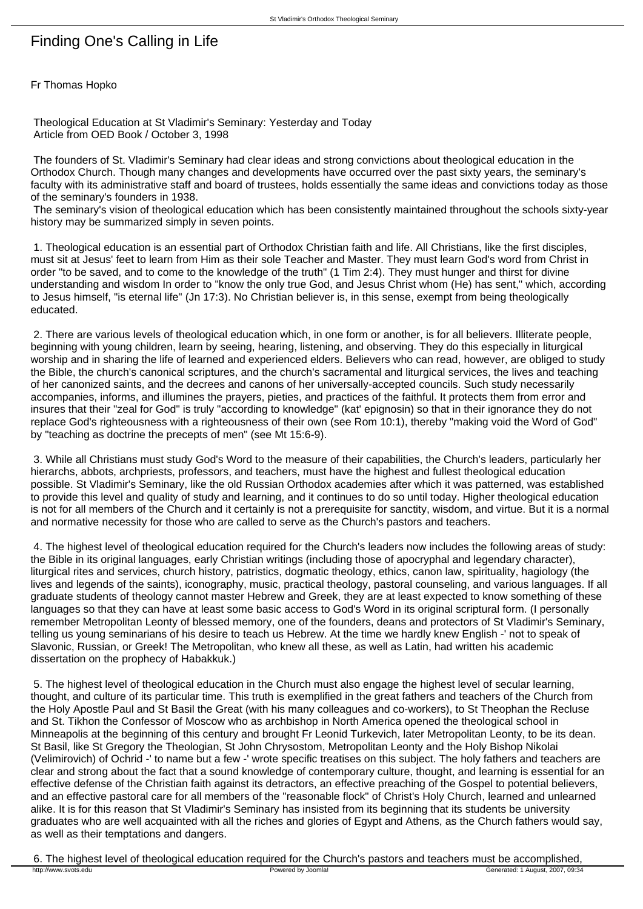## Finding One's Calling in Life

Fr Thomas Hopko

 Theological Education at St Vladimir's Seminary: Yesterday and Today Article from OED Book / October 3, 1998

 The founders of St. Vladimir's Seminary had clear ideas and strong convictions about theological education in the Orthodox Church. Though many changes and developments have occurred over the past sixty years, the seminary's faculty with its administrative staff and board of trustees, holds essentially the same ideas and convictions today as those of the seminary's founders in 1938.

 The seminary's vision of theological education which has been consistently maintained throughout the schools sixty-year history may be summarized simply in seven points.

 1. Theological education is an essential part of Orthodox Christian faith and life. All Christians, like the first disciples, must sit at Jesus' feet to learn from Him as their sole Teacher and Master. They must learn God's word from Christ in order "to be saved, and to come to the knowledge of the truth" (1 Tim 2:4). They must hunger and thirst for divine understanding and wisdom In order to "know the only true God, and Jesus Christ whom (He) has sent," which, according to Jesus himself, "is eternal life" (Jn 17:3). No Christian believer is, in this sense, exempt from being theologically educated.

 2. There are various levels of theological education which, in one form or another, is for all believers. Illiterate people, beginning with young children, learn by seeing, hearing, listening, and observing. They do this especially in liturgical worship and in sharing the life of learned and experienced elders. Believers who can read, however, are obliged to study the Bible, the church's canonical scriptures, and the church's sacramental and liturgical services, the lives and teaching of her canonized saints, and the decrees and canons of her universally-accepted councils. Such study necessarily accompanies, informs, and illumines the prayers, pieties, and practices of the faithful. It protects them from error and insures that their "zeal for God" is truly "according to knowledge" (kat' epignosin) so that in their ignorance they do not replace God's righteousness with a righteousness of their own (see Rom 10:1), thereby "making void the Word of God" by "teaching as doctrine the precepts of men" (see Mt 15:6-9).

 3. While all Christians must study God's Word to the measure of their capabilities, the Church's leaders, particularly her hierarchs, abbots, archpriests, professors, and teachers, must have the highest and fullest theological education possible. St Vladimir's Seminary, like the old Russian Orthodox academies after which it was patterned, was established to provide this level and quality of study and learning, and it continues to do so until today. Higher theological education is not for all members of the Church and it certainly is not a prerequisite for sanctity, wisdom, and virtue. But it is a normal and normative necessity for those who are called to serve as the Church's pastors and teachers.

 4. The highest level of theological education required for the Church's leaders now includes the following areas of study: the Bible in its original languages, early Christian writings (including those of apocryphal and legendary character), liturgical rites and services, church history, patristics, dogmatic theology, ethics, canon law, spirituality, hagiology (the lives and legends of the saints), iconography, music, practical theology, pastoral counseling, and various languages. If all graduate students of theology cannot master Hebrew and Greek, they are at least expected to know something of these languages so that they can have at least some basic access to God's Word in its original scriptural form. (I personally remember Metropolitan Leonty of blessed memory, one of the founders, deans and protectors of St Vladimir's Seminary, telling us young seminarians of his desire to teach us Hebrew. At the time we hardly knew English -' not to speak of Slavonic, Russian, or Greek! The Metropolitan, who knew all these, as well as Latin, had written his academic dissertation on the prophecy of Habakkuk.)

 5. The highest level of theological education in the Church must also engage the highest level of secular learning, thought, and culture of its particular time. This truth is exemplified in the great fathers and teachers of the Church from the Holy Apostle Paul and St Basil the Great (with his many colleagues and co-workers), to St Theophan the Recluse and St. Tikhon the Confessor of Moscow who as archbishop in North America opened the theological school in Minneapolis at the beginning of this century and brought Fr Leonid Turkevich, later Metropolitan Leonty, to be its dean. St Basil, like St Gregory the Theologian, St John Chrysostom, Metropolitan Leonty and the Holy Bishop Nikolai (Velimirovich) of Ochrid -' to name but a few -' wrote specific treatises on this subject. The holy fathers and teachers are clear and strong about the fact that a sound knowledge of contemporary culture, thought, and learning is essential for an effective defense of the Christian faith against its detractors, an effective preaching of the Gospel to potential believers, and an effective pastoral care for all members of the "reasonable flock" of Christ's Holy Church, learned and unlearned alike. It is for this reason that St Vladimir's Seminary has insisted from its beginning that its students be university graduates who are well acquainted with all the riches and glories of Egypt and Athens, as the Church fathers would say, as well as their temptations and dangers.

6. The highest level of theological education required for the Church's pastors and teachers must be accomplished,<br>**Exparated by Joomlal** Powered by Joomlal Devered by Joomlal Generated: 1 August, 2007, 09:34 http://www.svots.edu **Powered by Joomla!** Powered by Joomla! Generated: 1 August, 2007, 09:34